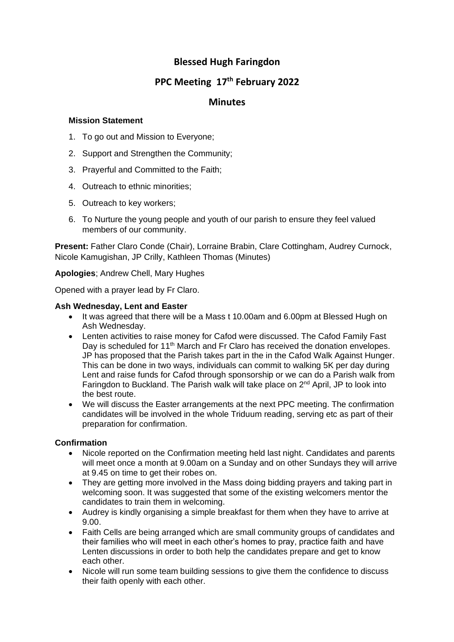## **Blessed Hugh Faringdon**

# **PPC Meeting 17 th February 2022**

### **Minutes**

#### **Mission Statement**

- 1. To go out and Mission to Everyone;
- 2. Support and Strengthen the Community;
- 3. Prayerful and Committed to the Faith;
- 4. Outreach to ethnic minorities;
- 5. Outreach to key workers;
- 6. To Nurture the young people and youth of our parish to ensure they feel valued members of our community.

**Present:** Father Claro Conde (Chair), Lorraine Brabin, Clare Cottingham, Audrey Curnock, Nicole Kamugishan, JP Crilly, Kathleen Thomas (Minutes)

#### **Apologies**; Andrew Chell, Mary Hughes

Opened with a prayer lead by Fr Claro.

#### **Ash Wednesday, Lent and Easter**

- It was agreed that there will be a Mass t 10.00am and 6.00pm at Blessed Hugh on Ash Wednesday.
- Lenten activities to raise money for Cafod were discussed. The Cafod Family Fast Day is scheduled for 11<sup>th</sup> March and Fr Claro has received the donation envelopes. JP has proposed that the Parish takes part in the in the Cafod Walk Against Hunger. This can be done in two ways, individuals can commit to walking 5K per day during Lent and raise funds for Cafod through sponsorship or we can do a Parish walk from Faringdon to Buckland. The Parish walk will take place on  $2^{nd}$  April, JP to look into the best route.
- We will discuss the Easter arrangements at the next PPC meeting. The confirmation candidates will be involved in the whole Triduum reading, serving etc as part of their preparation for confirmation.

#### **Confirmation**

- Nicole reported on the Confirmation meeting held last night. Candidates and parents will meet once a month at 9.00am on a Sunday and on other Sundays they will arrive at 9.45 on time to get their robes on.
- They are getting more involved in the Mass doing bidding prayers and taking part in welcoming soon. It was suggested that some of the existing welcomers mentor the candidates to train them in welcoming.
- Audrey is kindly organising a simple breakfast for them when they have to arrive at 9.00.
- Faith Cells are being arranged which are small community groups of candidates and their families who will meet in each other's homes to pray, practice faith and have Lenten discussions in order to both help the candidates prepare and get to know each other.
- Nicole will run some team building sessions to give them the confidence to discuss their faith openly with each other.